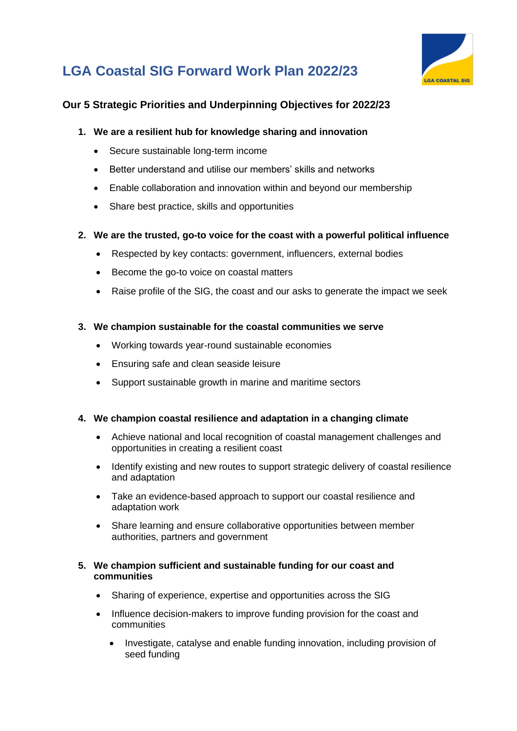

# **LGA Coastal SIG Forward Work Plan 2022/23**

### **Our 5 Strategic Priorities and Underpinning Objectives for 2022/23**

#### **1. We are a resilient hub for knowledge sharing and innovation**

- Secure sustainable long-term income
- Better understand and utilise our members' skills and networks
- Enable collaboration and innovation within and beyond our membership
- Share best practice, skills and opportunities

#### **2. We are the trusted, go-to voice for the coast with a powerful political influence**

- Respected by key contacts: government, influencers, external bodies
- Become the go-to voice on coastal matters
- Raise profile of the SIG, the coast and our asks to generate the impact we seek

#### **3. We champion sustainable for the coastal communities we serve**

- Working towards year-round sustainable economies
- Ensuring safe and clean seaside leisure
- Support sustainable growth in marine and maritime sectors

#### **4. We champion coastal resilience and adaptation in a changing climate**

- Achieve national and local recognition of coastal management challenges and opportunities in creating a resilient coast
- Identify existing and new routes to support strategic delivery of coastal resilience and adaptation
- Take an evidence-based approach to support our coastal resilience and adaptation work
- Share learning and ensure collaborative opportunities between member authorities, partners and government

#### **5. We champion sufficient and sustainable funding for our coast and communities**

- Sharing of experience, expertise and opportunities across the SIG
- Influence decision-makers to improve funding provision for the coast and communities
	- Investigate, catalyse and enable funding innovation, including provision of seed funding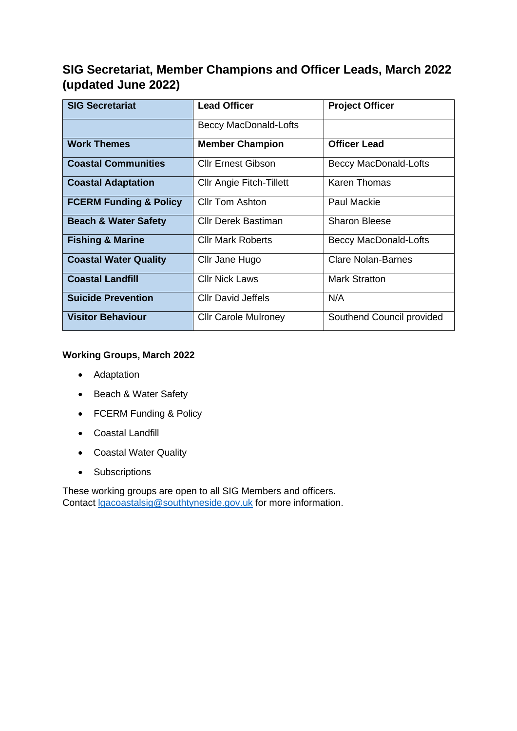# **SIG Secretariat, Member Champions and Officer Leads, March 2022 (updated June 2022)**

| <b>SIG Secretariat</b>            | <b>Lead Officer</b>             | <b>Project Officer</b>       |
|-----------------------------------|---------------------------------|------------------------------|
|                                   | <b>Beccy MacDonald-Lofts</b>    |                              |
| <b>Work Themes</b>                | <b>Member Champion</b>          | <b>Officer Lead</b>          |
| <b>Coastal Communities</b>        | <b>CIIr Ernest Gibson</b>       | <b>Beccy MacDonald-Lofts</b> |
| <b>Coastal Adaptation</b>         | <b>CIIr Angie Fitch-Tillett</b> | Karen Thomas                 |
| <b>FCERM Funding &amp; Policy</b> | <b>CIIr Tom Ashton</b>          | Paul Mackie                  |
| <b>Beach &amp; Water Safety</b>   | Cllr Derek Bastiman             | Sharon Bleese                |
| <b>Fishing &amp; Marine</b>       | <b>CIIr Mark Roberts</b>        | <b>Beccy MacDonald-Lofts</b> |
| <b>Coastal Water Quality</b>      | Cllr Jane Hugo                  | <b>Clare Nolan-Barnes</b>    |
| <b>Coastal Landfill</b>           | <b>Cllr Nick Laws</b>           | Mark Stratton                |
| <b>Suicide Prevention</b>         | <b>CIIr David Jeffels</b>       | N/A                          |
| <b>Visitor Behaviour</b>          | <b>Cllr Carole Mulroney</b>     | Southend Council provided    |

#### **Working Groups, March 2022**

- Adaptation
- Beach & Water Safety
- FCERM Funding & Policy
- Coastal Landfill
- Coastal Water Quality
- Subscriptions

These working groups are open to all SIG Members and officers. Contact [lgacoastalsig@southtyneside.gov.uk](mailto:lgacoastalsig@southtyneside.gov.uk) for more information.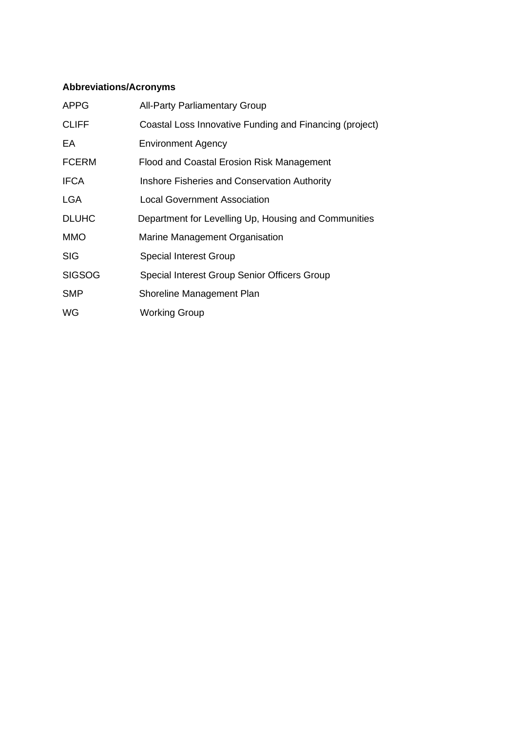### **Abbreviations/Acronyms**

| <b>APPG</b>   | <b>All-Party Parliamentary Group</b>                    |
|---------------|---------------------------------------------------------|
| <b>CLIFF</b>  | Coastal Loss Innovative Funding and Financing (project) |
| EA            | <b>Environment Agency</b>                               |
| <b>FCERM</b>  | Flood and Coastal Erosion Risk Management               |
| <b>IFCA</b>   | Inshore Fisheries and Conservation Authority            |
| <b>LGA</b>    | <b>Local Government Association</b>                     |
| <b>DLUHC</b>  | Department for Levelling Up, Housing and Communities    |
| <b>MMO</b>    | Marine Management Organisation                          |
| <b>SIG</b>    | <b>Special Interest Group</b>                           |
| <b>SIGSOG</b> | Special Interest Group Senior Officers Group            |
| <b>SMP</b>    | Shoreline Management Plan                               |
| WG            | <b>Working Group</b>                                    |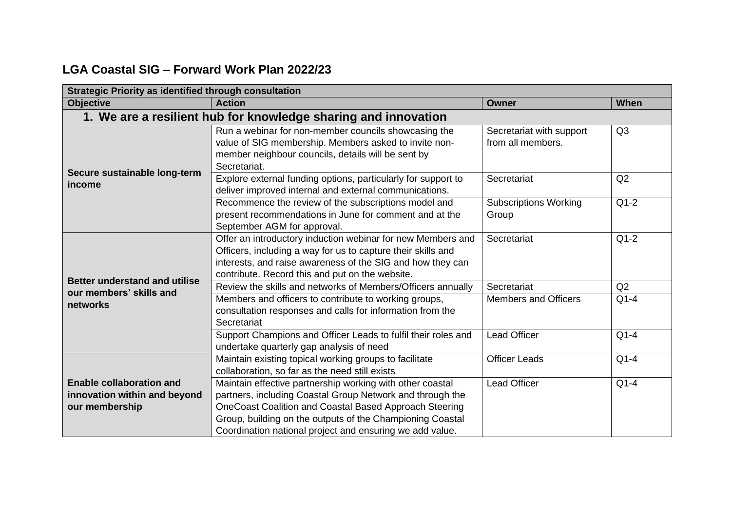## **LGA Coastal SIG – Forward Work Plan 2022/23**

| <b>Strategic Priority as identified through consultation</b>                      |                                                                                                                                                                                                                                                                                                           |                                               |                |  |
|-----------------------------------------------------------------------------------|-----------------------------------------------------------------------------------------------------------------------------------------------------------------------------------------------------------------------------------------------------------------------------------------------------------|-----------------------------------------------|----------------|--|
| <b>Objective</b>                                                                  | <b>Action</b>                                                                                                                                                                                                                                                                                             | <b>Owner</b>                                  | When           |  |
|                                                                                   | 1. We are a resilient hub for knowledge sharing and innovation                                                                                                                                                                                                                                            |                                               |                |  |
| Secure sustainable long-term<br>income                                            | Run a webinar for non-member councils showcasing the<br>value of SIG membership. Members asked to invite non-<br>member neighbour councils, details will be sent by<br>Secretariat.                                                                                                                       | Secretariat with support<br>from all members. | Q3             |  |
|                                                                                   | Explore external funding options, particularly for support to<br>deliver improved internal and external communications.                                                                                                                                                                                   | Secretariat                                   | Q <sub>2</sub> |  |
|                                                                                   | Recommence the review of the subscriptions model and<br>present recommendations in June for comment and at the<br>September AGM for approval.                                                                                                                                                             | <b>Subscriptions Working</b><br>Group         | $Q1-2$         |  |
| <b>Better understand and utilise</b><br>our members' skills and<br>networks       | Offer an introductory induction webinar for new Members and<br>Officers, including a way for us to capture their skills and<br>interests, and raise awareness of the SIG and how they can<br>contribute. Record this and put on the website.                                                              | Secretariat                                   | $Q1-2$         |  |
|                                                                                   | Review the skills and networks of Members/Officers annually                                                                                                                                                                                                                                               | Secretariat                                   | Q2             |  |
|                                                                                   | Members and officers to contribute to working groups,<br>consultation responses and calls for information from the<br>Secretariat                                                                                                                                                                         | <b>Members and Officers</b>                   | $Q1-4$         |  |
|                                                                                   | Support Champions and Officer Leads to fulfil their roles and<br>undertake quarterly gap analysis of need                                                                                                                                                                                                 | <b>Lead Officer</b>                           | $Q1-4$         |  |
|                                                                                   | Maintain existing topical working groups to facilitate<br>collaboration, so far as the need still exists                                                                                                                                                                                                  | <b>Officer Leads</b>                          | $Q1-4$         |  |
| <b>Enable collaboration and</b><br>innovation within and beyond<br>our membership | Maintain effective partnership working with other coastal<br>partners, including Coastal Group Network and through the<br>OneCoast Coalition and Coastal Based Approach Steering<br>Group, building on the outputs of the Championing Coastal<br>Coordination national project and ensuring we add value. | <b>Lead Officer</b>                           | $Q1-4$         |  |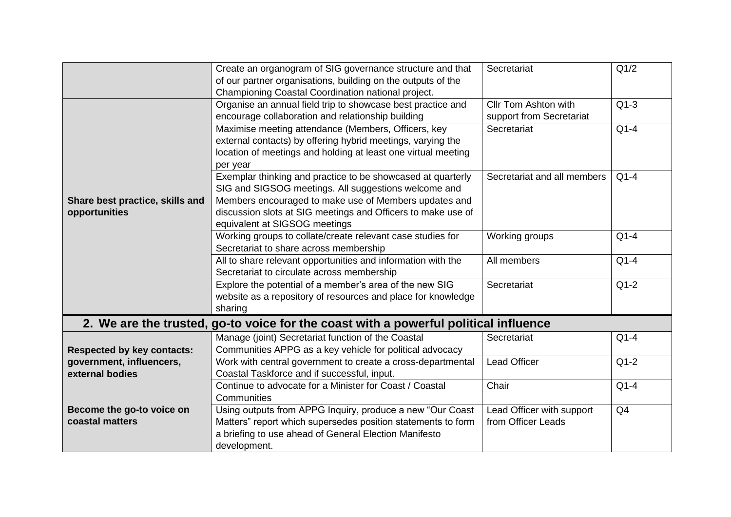|                                                  | Create an organogram of SIG governance structure and that<br>of our partner organisations, building on the outputs of the<br>Championing Coastal Coordination national project.                                                                                               | Secretariat                                             | Q1/2           |
|--------------------------------------------------|-------------------------------------------------------------------------------------------------------------------------------------------------------------------------------------------------------------------------------------------------------------------------------|---------------------------------------------------------|----------------|
|                                                  | Organise an annual field trip to showcase best practice and<br>encourage collaboration and relationship building                                                                                                                                                              | <b>Cllr Tom Ashton with</b><br>support from Secretariat | $Q1-3$         |
|                                                  | Maximise meeting attendance (Members, Officers, key<br>external contacts) by offering hybrid meetings, varying the<br>location of meetings and holding at least one virtual meeting<br>per year                                                                               | Secretariat                                             | $Q1-4$         |
| Share best practice, skills and<br>opportunities | Exemplar thinking and practice to be showcased at quarterly<br>SIG and SIGSOG meetings. All suggestions welcome and<br>Members encouraged to make use of Members updates and<br>discussion slots at SIG meetings and Officers to make use of<br>equivalent at SIGSOG meetings | Secretariat and all members                             | $Q1-4$         |
|                                                  | Working groups to collate/create relevant case studies for<br>Secretariat to share across membership                                                                                                                                                                          | Working groups                                          | $Q1-4$         |
|                                                  | All to share relevant opportunities and information with the<br>Secretariat to circulate across membership                                                                                                                                                                    | All members                                             | $Q1-4$         |
|                                                  | Explore the potential of a member's area of the new SIG<br>website as a repository of resources and place for knowledge<br>sharing                                                                                                                                            | Secretariat                                             | $Q1-2$         |
|                                                  | 2. We are the trusted, go-to voice for the coast with a powerful political influence                                                                                                                                                                                          |                                                         |                |
| <b>Respected by key contacts:</b>                | Manage (joint) Secretariat function of the Coastal<br>Communities APPG as a key vehicle for political advocacy                                                                                                                                                                | Secretariat                                             | $Q1-4$         |
| government, influencers,<br>external bodies      | Work with central government to create a cross-departmental<br>Coastal Taskforce and if successful, input.                                                                                                                                                                    | <b>Lead Officer</b>                                     | $Q1-2$         |
|                                                  | Continue to advocate for a Minister for Coast / Coastal<br>Communities                                                                                                                                                                                                        | Chair                                                   | $Q1-4$         |
| Become the go-to voice on<br>coastal matters     | Using outputs from APPG Inquiry, produce a new "Our Coast<br>Matters" report which supersedes position statements to form<br>a briefing to use ahead of General Election Manifesto<br>development.                                                                            | Lead Officer with support<br>from Officer Leads         | Q <sub>4</sub> |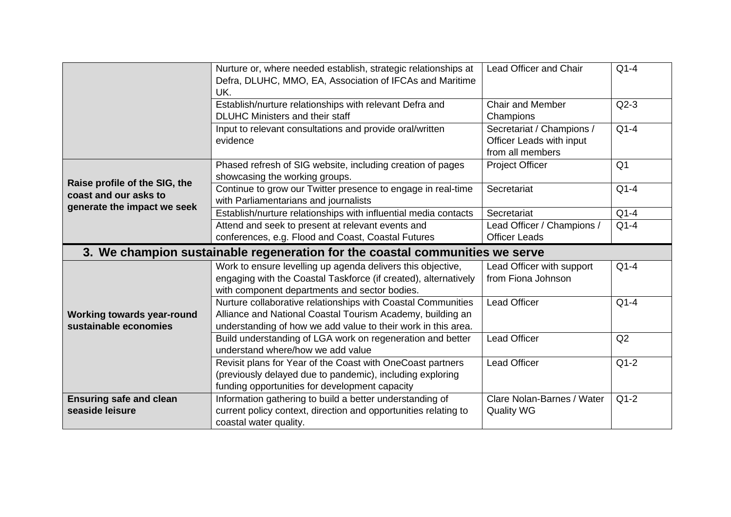|                                                        | Nurture or, where needed establish, strategic relationships at<br>Defra, DLUHC, MMO, EA, Association of IFCAs and Maritime<br>UK. | <b>Lead Officer and Chair</b>                                             | $Q1-4$         |
|--------------------------------------------------------|-----------------------------------------------------------------------------------------------------------------------------------|---------------------------------------------------------------------------|----------------|
|                                                        | Establish/nurture relationships with relevant Defra and<br><b>DLUHC Ministers and their staff</b>                                 | <b>Chair and Member</b><br>Champions                                      | $Q2-3$         |
|                                                        | Input to relevant consultations and provide oral/written<br>evidence                                                              | Secretariat / Champions /<br>Officer Leads with input<br>from all members | $Q1-4$         |
|                                                        | Phased refresh of SIG website, including creation of pages<br>showcasing the working groups.                                      | <b>Project Officer</b>                                                    | Q <sub>1</sub> |
| Raise profile of the SIG, the<br>coast and our asks to | Continue to grow our Twitter presence to engage in real-time<br>with Parliamentarians and journalists                             | Secretariat                                                               | $Q1-4$         |
| generate the impact we seek                            | Establish/nurture relationships with influential media contacts                                                                   | Secretariat                                                               | $Q1-4$         |
|                                                        | Attend and seek to present at relevant events and                                                                                 | Lead Officer / Champions /                                                | $Q1-4$         |
|                                                        | conferences, e.g. Flood and Coast, Coastal Futures                                                                                | <b>Officer Leads</b>                                                      |                |
|                                                        |                                                                                                                                   |                                                                           |                |
|                                                        | 3. We champion sustainable regeneration for the coastal communities we serve                                                      |                                                                           |                |
|                                                        | Work to ensure levelling up agenda delivers this objective,                                                                       | Lead Officer with support                                                 | $Q1-4$         |
|                                                        | engaging with the Coastal Taskforce (if created), alternatively                                                                   | from Fiona Johnson                                                        |                |
|                                                        | with component departments and sector bodies.                                                                                     |                                                                           |                |
| <b>Working towards year-round</b>                      | Nurture collaborative relationships with Coastal Communities<br>Alliance and National Coastal Tourism Academy, building an        | <b>Lead Officer</b>                                                       | $Q1-4$         |
| sustainable economies                                  | understanding of how we add value to their work in this area.                                                                     |                                                                           |                |
|                                                        | Build understanding of LGA work on regeneration and better<br>understand where/how we add value                                   | <b>Lead Officer</b>                                                       | Q2             |
|                                                        | Revisit plans for Year of the Coast with OneCoast partners                                                                        | <b>Lead Officer</b>                                                       | $Q1-2$         |
|                                                        | (previously delayed due to pandemic), including exploring                                                                         |                                                                           |                |
|                                                        | funding opportunities for development capacity                                                                                    |                                                                           |                |
| <b>Ensuring safe and clean</b>                         | Information gathering to build a better understanding of                                                                          | Clare Nolan-Barnes / Water                                                | $Q1-2$         |
| seaside leisure                                        | current policy context, direction and opportunities relating to                                                                   | <b>Quality WG</b>                                                         |                |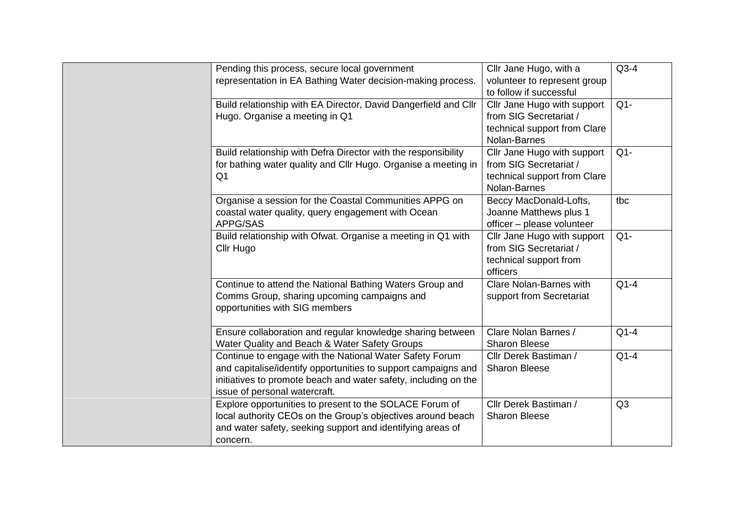| Pending this process, secure local government                   | Cllr Jane Hugo, with a         | $Q3-4$         |
|-----------------------------------------------------------------|--------------------------------|----------------|
| representation in EA Bathing Water decision-making process.     | volunteer to represent group   |                |
|                                                                 | to follow if successful        |                |
| Build relationship with EA Director, David Dangerfield and Cllr | Cllr Jane Hugo with support    | $Q1 -$         |
| Hugo. Organise a meeting in Q1                                  | from SIG Secretariat /         |                |
|                                                                 | technical support from Clare   |                |
|                                                                 | Nolan-Barnes                   |                |
| Build relationship with Defra Director with the responsibility  | Cllr Jane Hugo with support    | $Q1 -$         |
| for bathing water quality and Cllr Hugo. Organise a meeting in  | from SIG Secretariat /         |                |
| Q <sub>1</sub>                                                  | technical support from Clare   |                |
|                                                                 | Nolan-Barnes                   |                |
| Organise a session for the Coastal Communities APPG on          | Beccy MacDonald-Lofts,         | tbc            |
| coastal water quality, query engagement with Ocean              | Joanne Matthews plus 1         |                |
| APPG/SAS                                                        | officer - please volunteer     |                |
| Build relationship with Ofwat. Organise a meeting in Q1 with    | Cllr Jane Hugo with support    | $Q1 -$         |
| Cllr Hugo                                                       | from SIG Secretariat /         |                |
|                                                                 | technical support from         |                |
|                                                                 | officers                       |                |
| Continue to attend the National Bathing Waters Group and        | <b>Clare Nolan-Barnes with</b> | $Q1-4$         |
| Comms Group, sharing upcoming campaigns and                     | support from Secretariat       |                |
| opportunities with SIG members                                  |                                |                |
|                                                                 |                                |                |
| Ensure collaboration and regular knowledge sharing between      | Clare Nolan Barnes /           | $Q1-4$         |
| Water Quality and Beach & Water Safety Groups                   | <b>Sharon Bleese</b>           |                |
| Continue to engage with the National Water Safety Forum         | Cllr Derek Bastiman /          | $Q1-4$         |
| and capitalise/identify opportunities to support campaigns and  | <b>Sharon Bleese</b>           |                |
| initiatives to promote beach and water safety, including on the |                                |                |
| issue of personal watercraft.                                   |                                |                |
| Explore opportunities to present to the SOLACE Forum of         | Cllr Derek Bastiman /          | Q <sub>3</sub> |
| local authority CEOs on the Group's objectives around beach     | <b>Sharon Bleese</b>           |                |
| and water safety, seeking support and identifying areas of      |                                |                |
| concern.                                                        |                                |                |
|                                                                 |                                |                |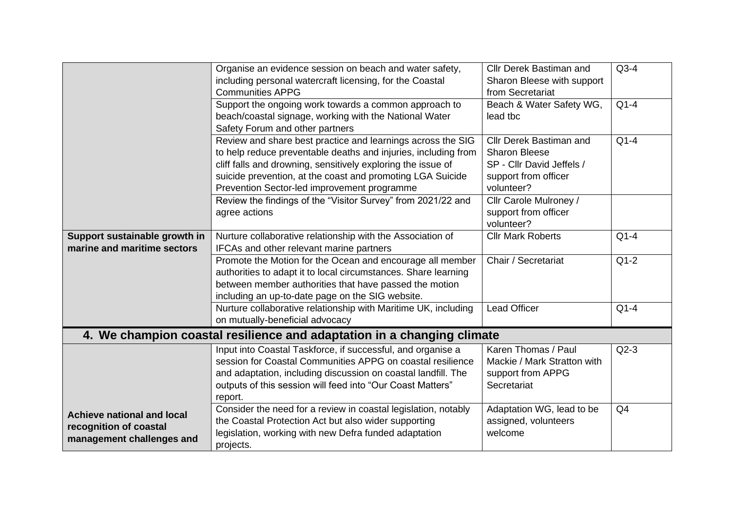|                                                                                   | Organise an evidence session on beach and water safety,<br>including personal watercraft licensing, for the Coastal<br><b>Communities APPG</b>                                                                                                                                                             | <b>Cllr Derek Bastiman and</b><br>Sharon Bleese with support<br>from Secretariat                                   | $Q3-4$         |
|-----------------------------------------------------------------------------------|------------------------------------------------------------------------------------------------------------------------------------------------------------------------------------------------------------------------------------------------------------------------------------------------------------|--------------------------------------------------------------------------------------------------------------------|----------------|
|                                                                                   | Support the ongoing work towards a common approach to<br>beach/coastal signage, working with the National Water<br>Safety Forum and other partners                                                                                                                                                         | Beach & Water Safety WG,<br>lead tbc                                                                               | $Q1-4$         |
|                                                                                   | Review and share best practice and learnings across the SIG<br>to help reduce preventable deaths and injuries, including from<br>cliff falls and drowning, sensitively exploring the issue of<br>suicide prevention, at the coast and promoting LGA Suicide<br>Prevention Sector-led improvement programme | Cllr Derek Bastiman and<br><b>Sharon Bleese</b><br>SP - Cllr David Jeffels /<br>support from officer<br>volunteer? | $Q1-4$         |
|                                                                                   | Review the findings of the "Visitor Survey" from 2021/22 and<br>agree actions                                                                                                                                                                                                                              | Cllr Carole Mulroney /<br>support from officer<br>volunteer?                                                       |                |
| Support sustainable growth in                                                     | Nurture collaborative relationship with the Association of                                                                                                                                                                                                                                                 | <b>Cllr Mark Roberts</b>                                                                                           | $Q1-4$         |
| marine and maritime sectors                                                       | IFCAs and other relevant marine partners                                                                                                                                                                                                                                                                   |                                                                                                                    |                |
|                                                                                   | Promote the Motion for the Ocean and encourage all member<br>authorities to adapt it to local circumstances. Share learning<br>between member authorities that have passed the motion<br>including an up-to-date page on the SIG website.                                                                  | Chair / Secretariat                                                                                                | $Q1-2$         |
|                                                                                   | Nurture collaborative relationship with Maritime UK, including<br>on mutually-beneficial advocacy                                                                                                                                                                                                          | <b>Lead Officer</b>                                                                                                | $Q1-4$         |
|                                                                                   | 4. We champion coastal resilience and adaptation in a changing climate                                                                                                                                                                                                                                     |                                                                                                                    |                |
|                                                                                   | Input into Coastal Taskforce, if successful, and organise a<br>session for Coastal Communities APPG on coastal resilience<br>and adaptation, including discussion on coastal landfill. The<br>outputs of this session will feed into "Our Coast Matters"<br>report.                                        | Karen Thomas / Paul<br>Mackie / Mark Stratton with<br>support from APPG<br>Secretariat                             | $Q2-3$         |
| Achieve national and local<br>recognition of coastal<br>management challenges and | Consider the need for a review in coastal legislation, notably<br>the Coastal Protection Act but also wider supporting<br>legislation, working with new Defra funded adaptation<br>projects.                                                                                                               | Adaptation WG, lead to be<br>assigned, volunteers<br>welcome                                                       | Q <sub>4</sub> |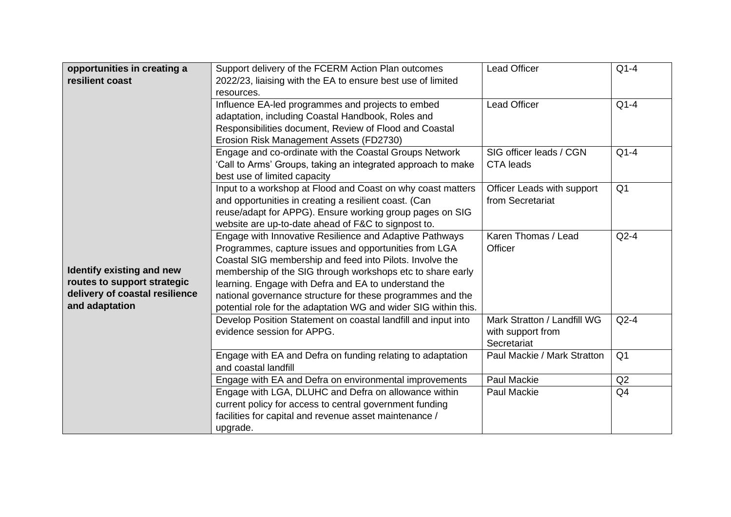| opportunities in creating a<br>resilient coast                                                               | Support delivery of the FCERM Action Plan outcomes<br>2022/23, liaising with the EA to ensure best use of limited<br>resources.                                                                                                                                                                                                                                                                                                     | <b>Lead Officer</b>                                             | $Q1-4$         |
|--------------------------------------------------------------------------------------------------------------|-------------------------------------------------------------------------------------------------------------------------------------------------------------------------------------------------------------------------------------------------------------------------------------------------------------------------------------------------------------------------------------------------------------------------------------|-----------------------------------------------------------------|----------------|
|                                                                                                              | Influence EA-led programmes and projects to embed<br>adaptation, including Coastal Handbook, Roles and<br>Responsibilities document, Review of Flood and Coastal<br>Erosion Risk Management Assets (FD2730)                                                                                                                                                                                                                         | <b>Lead Officer</b>                                             | $Q1-4$         |
|                                                                                                              | Engage and co-ordinate with the Coastal Groups Network<br>'Call to Arms' Groups, taking an integrated approach to make<br>best use of limited capacity                                                                                                                                                                                                                                                                              | SIG officer leads / CGN<br><b>CTA</b> leads                     | $Q1-4$         |
|                                                                                                              | Input to a workshop at Flood and Coast on why coast matters<br>and opportunities in creating a resilient coast. (Can<br>reuse/adapt for APPG). Ensure working group pages on SIG<br>website are up-to-date ahead of F&C to signpost to.                                                                                                                                                                                             | Officer Leads with support<br>from Secretariat                  | Q <sub>1</sub> |
| Identify existing and new<br>routes to support strategic<br>delivery of coastal resilience<br>and adaptation | Engage with Innovative Resilience and Adaptive Pathways<br>Programmes, capture issues and opportunities from LGA<br>Coastal SIG membership and feed into Pilots. Involve the<br>membership of the SIG through workshops etc to share early<br>learning. Engage with Defra and EA to understand the<br>national governance structure for these programmes and the<br>potential role for the adaptation WG and wider SIG within this. | Karen Thomas / Lead<br>Officer                                  | $Q2-4$         |
|                                                                                                              | Develop Position Statement on coastal landfill and input into<br>evidence session for APPG.                                                                                                                                                                                                                                                                                                                                         | Mark Stratton / Landfill WG<br>with support from<br>Secretariat | $Q2-4$         |
|                                                                                                              | Engage with EA and Defra on funding relating to adaptation<br>and coastal landfill                                                                                                                                                                                                                                                                                                                                                  | Paul Mackie / Mark Stratton                                     | Q <sub>1</sub> |
|                                                                                                              | Engage with EA and Defra on environmental improvements                                                                                                                                                                                                                                                                                                                                                                              | <b>Paul Mackie</b>                                              | Q2             |
|                                                                                                              | Engage with LGA, DLUHC and Defra on allowance within<br>current policy for access to central government funding<br>facilities for capital and revenue asset maintenance /<br>upgrade.                                                                                                                                                                                                                                               | <b>Paul Mackie</b>                                              | Q <sub>4</sub> |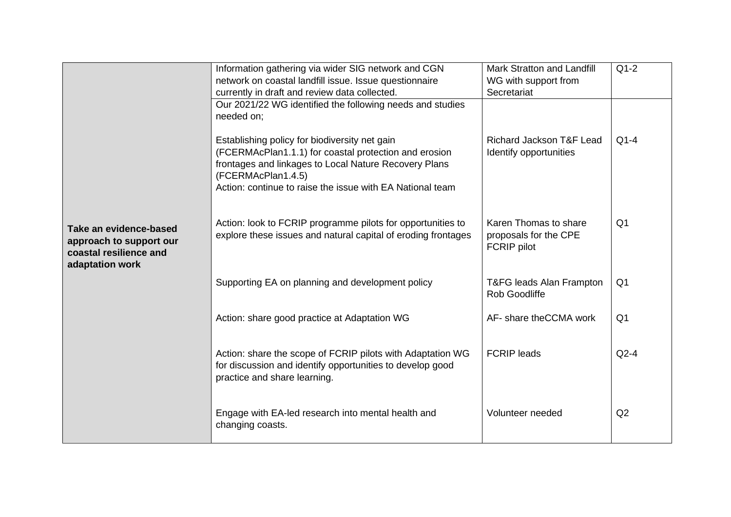|                                                                                                | Information gathering via wider SIG network and CGN<br>network on coastal landfill issue. Issue questionnaire<br>currently in draft and review data collected.                                                                                     | <b>Mark Stratton and Landfill</b><br>WG with support from<br>Secretariat | $Q1-2$         |
|------------------------------------------------------------------------------------------------|----------------------------------------------------------------------------------------------------------------------------------------------------------------------------------------------------------------------------------------------------|--------------------------------------------------------------------------|----------------|
|                                                                                                | Our 2021/22 WG identified the following needs and studies<br>needed on;                                                                                                                                                                            |                                                                          |                |
|                                                                                                | Establishing policy for biodiversity net gain<br>(FCERMAcPlan1.1.1) for coastal protection and erosion<br>frontages and linkages to Local Nature Recovery Plans<br>(FCERMAcPlan1.4.5)<br>Action: continue to raise the issue with EA National team | Richard Jackson T&F Lead<br>Identify opportunities                       | $Q1-4$         |
| Take an evidence-based<br>approach to support our<br>coastal resilience and<br>adaptation work | Action: look to FCRIP programme pilots for opportunities to<br>explore these issues and natural capital of eroding frontages                                                                                                                       | Karen Thomas to share<br>proposals for the CPE<br><b>FCRIP</b> pilot     | Q <sub>1</sub> |
|                                                                                                | Supporting EA on planning and development policy                                                                                                                                                                                                   | T&FG leads Alan Frampton<br>Rob Goodliffe                                | Q <sub>1</sub> |
|                                                                                                | Action: share good practice at Adaptation WG                                                                                                                                                                                                       | AF- share the CCMA work                                                  | Q <sub>1</sub> |
|                                                                                                | Action: share the scope of FCRIP pilots with Adaptation WG<br>for discussion and identify opportunities to develop good<br>practice and share learning.                                                                                            | <b>FCRIP</b> leads                                                       | $Q2-4$         |
|                                                                                                | Engage with EA-led research into mental health and<br>changing coasts.                                                                                                                                                                             | Volunteer needed                                                         | Q2             |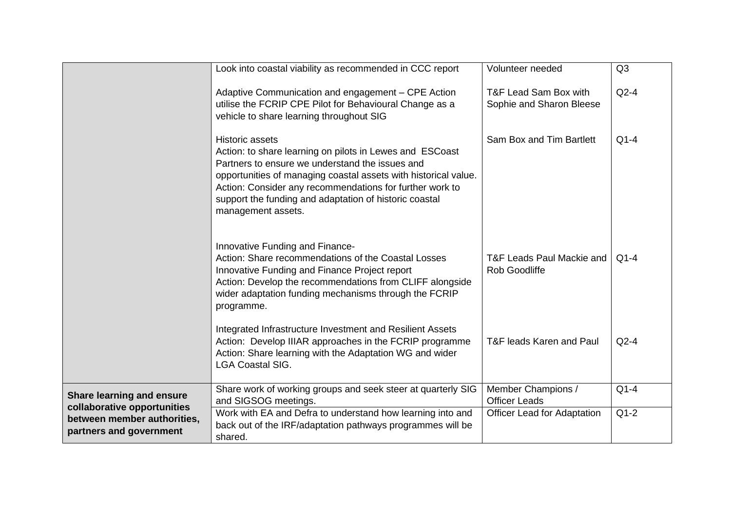|                                                                 | Look into coastal viability as recommended in CCC report                                                                                                                                                                                                                                                                                      | Volunteer needed                                  | Q3     |
|-----------------------------------------------------------------|-----------------------------------------------------------------------------------------------------------------------------------------------------------------------------------------------------------------------------------------------------------------------------------------------------------------------------------------------|---------------------------------------------------|--------|
|                                                                 |                                                                                                                                                                                                                                                                                                                                               |                                                   |        |
|                                                                 | Adaptive Communication and engagement - CPE Action<br>utilise the FCRIP CPE Pilot for Behavioural Change as a<br>vehicle to share learning throughout SIG                                                                                                                                                                                     | T&F Lead Sam Box with<br>Sophie and Sharon Bleese | $Q2-4$ |
|                                                                 | Historic assets<br>Action: to share learning on pilots in Lewes and ESCoast<br>Partners to ensure we understand the issues and<br>opportunities of managing coastal assets with historical value.<br>Action: Consider any recommendations for further work to<br>support the funding and adaptation of historic coastal<br>management assets. | Sam Box and Tim Bartlett                          | $Q1-4$ |
|                                                                 | Innovative Funding and Finance-<br>Action: Share recommendations of the Coastal Losses<br>Innovative Funding and Finance Project report<br>Action: Develop the recommendations from CLIFF alongside<br>wider adaptation funding mechanisms through the FCRIP<br>programme.                                                                    | T&F Leads Paul Mackie and<br><b>Rob Goodliffe</b> | $Q1-4$ |
|                                                                 | Integrated Infrastructure Investment and Resilient Assets<br>Action: Develop IIIAR approaches in the FCRIP programme<br>Action: Share learning with the Adaptation WG and wider<br><b>LGA Coastal SIG.</b>                                                                                                                                    | T&F leads Karen and Paul                          | $Q2-4$ |
| <b>Share learning and ensure</b><br>collaborative opportunities | Share work of working groups and seek steer at quarterly SIG<br>and SIGSOG meetings.                                                                                                                                                                                                                                                          | Member Champions /<br><b>Officer Leads</b>        | $Q1-4$ |
| between member authorities,<br>partners and government          | Work with EA and Defra to understand how learning into and<br>back out of the IRF/adaptation pathways programmes will be<br>shared.                                                                                                                                                                                                           | <b>Officer Lead for Adaptation</b>                | $Q1-2$ |